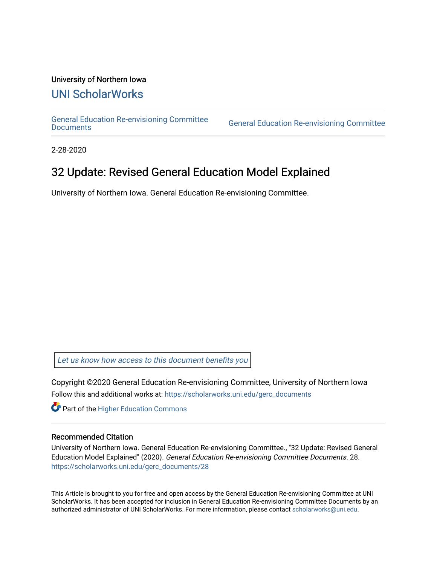### University of Northern Iowa

# [UNI ScholarWorks](https://scholarworks.uni.edu/)

[General Education Re-envisioning Committee](https://scholarworks.uni.edu/gerc_documents) 

**General Education Re-envisioning Committee** 

2-28-2020

# 32 Update: Revised General Education Model Explained

University of Northern Iowa. General Education Re-envisioning Committee.

[Let us know how access to this document benefits you](https://scholarworks.uni.edu/feedback_form.html) 

Copyright ©2020 General Education Re-envisioning Committee, University of Northern Iowa Follow this and additional works at: [https://scholarworks.uni.edu/gerc\\_documents](https://scholarworks.uni.edu/gerc_documents?utm_source=scholarworks.uni.edu%2Fgerc_documents%2F28&utm_medium=PDF&utm_campaign=PDFCoverPages)

**Part of the Higher Education Commons** 

#### Recommended Citation

University of Northern Iowa. General Education Re-envisioning Committee., "32 Update: Revised General Education Model Explained" (2020). General Education Re-envisioning Committee Documents. 28. [https://scholarworks.uni.edu/gerc\\_documents/28](https://scholarworks.uni.edu/gerc_documents/28?utm_source=scholarworks.uni.edu%2Fgerc_documents%2F28&utm_medium=PDF&utm_campaign=PDFCoverPages) 

This Article is brought to you for free and open access by the General Education Re-envisioning Committee at UNI ScholarWorks. It has been accepted for inclusion in General Education Re-envisioning Committee Documents by an authorized administrator of UNI ScholarWorks. For more information, please contact [scholarworks@uni.edu.](mailto:scholarworks@uni.edu)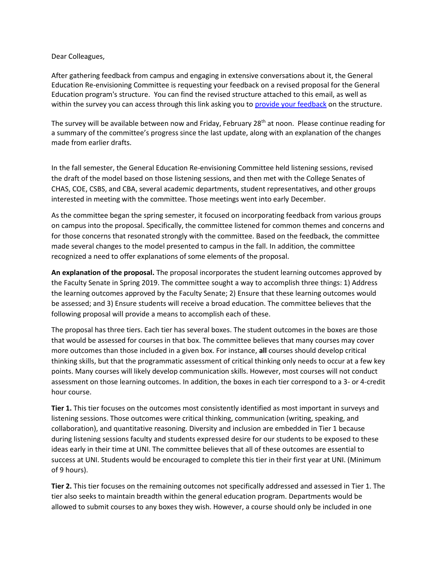#### Dear Colleagues,

After gathering feedback from campus and engaging in extensive conversations about it, the General Education Re-envisioning Committee is requesting your feedback on a revised proposal for the General Education program's structure. You can find the revised structure attached to this email, as well as within the survey you can access through this link asking you to [provide your feedback](https://uni.co1.qualtrics.com/jfe/form/SV_51tAgd0UFcw3EYl) on the structure.

The survey will be available between now and Friday, February 28<sup>th</sup> at noon. Please continue reading for a summary of the committee's progress since the last update, along with an explanation of the changes made from earlier drafts.

In the fall semester, the General Education Re-envisioning Committee held listening sessions, revised the draft of the model based on those listening sessions, and then met with the College Senates of CHAS, COE, CSBS, and CBA, several academic departments, student representatives, and other groups interested in meeting with the committee. Those meetings went into early December.

As the committee began the spring semester, it focused on incorporating feedback from various groups on campus into the proposal. Specifically, the committee listened for common themes and concerns and for those concerns that resonated strongly with the committee. Based on the feedback, the committee made several changes to the model presented to campus in the fall. In addition, the committee recognized a need to offer explanations of some elements of the proposal.

**An explanation of the proposal.** The proposal incorporates the student learning outcomes approved by the Faculty Senate in Spring 2019. The committee sought a way to accomplish three things: 1) Address the learning outcomes approved by the Faculty Senate; 2) Ensure that these learning outcomes would be assessed; and 3) Ensure students will receive a broad education. The committee believes that the following proposal will provide a means to accomplish each of these.

The proposal has three tiers. Each tier has several boxes. The student outcomes in the boxes are those that would be assessed for courses in that box. The committee believes that many courses may cover more outcomes than those included in a given box. For instance, **all** courses should develop critical thinking skills, but that the programmatic assessment of critical thinking only needs to occur at a few key points. Many courses will likely develop communication skills. However, most courses will not conduct assessment on those learning outcomes. In addition, the boxes in each tier correspond to a 3- or 4-credit hour course.

**Tier 1.** This tier focuses on the outcomes most consistently identified as most important in surveys and listening sessions. Those outcomes were critical thinking, communication (writing, speaking, and collaboration), and quantitative reasoning. Diversity and inclusion are embedded in Tier 1 because during listening sessions faculty and students expressed desire for our students to be exposed to these ideas early in their time at UNI. The committee believes that all of these outcomes are essential to success at UNI. Students would be encouraged to complete this tier in their first year at UNI. (Minimum of 9 hours).

**Tier 2.** This tier focuses on the remaining outcomes not specifically addressed and assessed in Tier 1. The tier also seeks to maintain breadth within the general education program. Departments would be allowed to submit courses to any boxes they wish. However, a course should only be included in one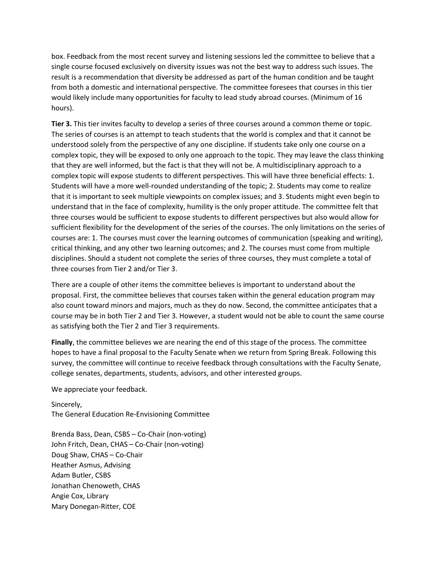box. Feedback from the most recent survey and listening sessions led the committee to believe that a single course focused exclusively on diversity issues was not the best way to address such issues. The result is a recommendation that diversity be addressed as part of the human condition and be taught from both a domestic and international perspective. The committee foresees that courses in this tier would likely include many opportunities for faculty to lead study abroad courses. (Minimum of 16 hours).

**Tier 3.** This tier invites faculty to develop a series of three courses around a common theme or topic. The series of courses is an attempt to teach students that the world is complex and that it cannot be understood solely from the perspective of any one discipline. If students take only one course on a complex topic, they will be exposed to only one approach to the topic. They may leave the class thinking that they are well informed, but the fact is that they will not be. A multidisciplinary approach to a complex topic will expose students to different perspectives. This will have three beneficial effects: 1. Students will have a more well-rounded understanding of the topic; 2. Students may come to realize that it is important to seek multiple viewpoints on complex issues; and 3. Students might even begin to understand that in the face of complexity, humility is the only proper attitude. The committee felt that three courses would be sufficient to expose students to different perspectives but also would allow for sufficient flexibility for the development of the series of the courses. The only limitations on the series of courses are: 1. The courses must cover the learning outcomes of communication (speaking and writing), critical thinking, and any other two learning outcomes; and 2. The courses must come from multiple disciplines. Should a student not complete the series of three courses, they must complete a total of three courses from Tier 2 and/or Tier 3.

There are a couple of other items the committee believes is important to understand about the proposal. First, the committee believes that courses taken within the general education program may also count toward minors and majors, much as they do now. Second, the committee anticipates that a course may be in both Tier 2 and Tier 3. However, a student would not be able to count the same course as satisfying both the Tier 2 and Tier 3 requirements.

**Finally**, the committee believes we are nearing the end of this stage of the process. The committee hopes to have a final proposal to the Faculty Senate when we return from Spring Break. Following this survey, the committee will continue to receive feedback through consultations with the Faculty Senate, college senates, departments, students, advisors, and other interested groups.

We appreciate your feedback.

Sincerely, The General Education Re-Envisioning Committee

Brenda Bass, Dean, CSBS – Co-Chair (non-voting) John Fritch, Dean, CHAS – Co-Chair (non-voting) Doug Shaw, CHAS – Co-Chair Heather Asmus, Advising Adam Butler, CSBS Jonathan Chenoweth, CHAS Angie Cox, Library Mary Donegan-Ritter, COE